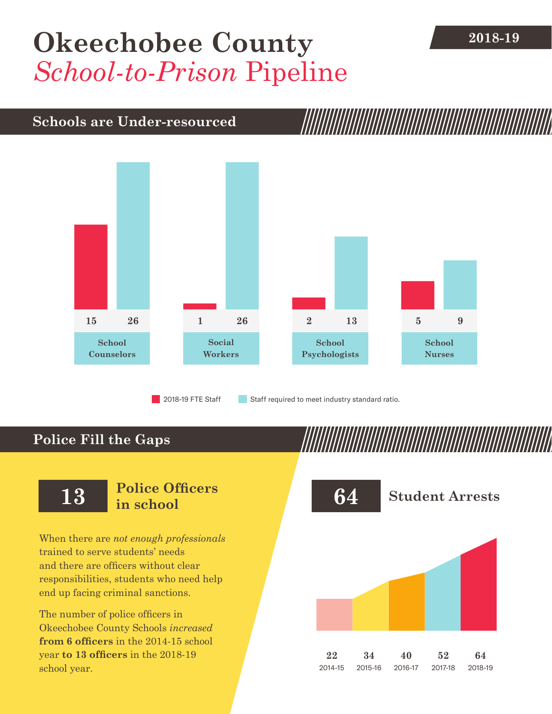## **[Okeechobee County](DBF_County)** 2018-19 *School-to-Prison* Pipeline

#### **Schools are Under-resourced**



2018-19 FTE Staff **Staff required to meet industry standard ratio.** 

### **Police Fill the Gaps**

When there are *not enough professionals* trained to serve students' needs and there are officers without clear responsibilities, students who need help end up facing criminal sanctions.

The number of police officers in [Okeechobee County](DBF_County) Schools *increased* **from [6](DBF_PO1415) officers** in the 2014-15 school year **to [13](DBF_PO) officers** in the 2018-19 school year.